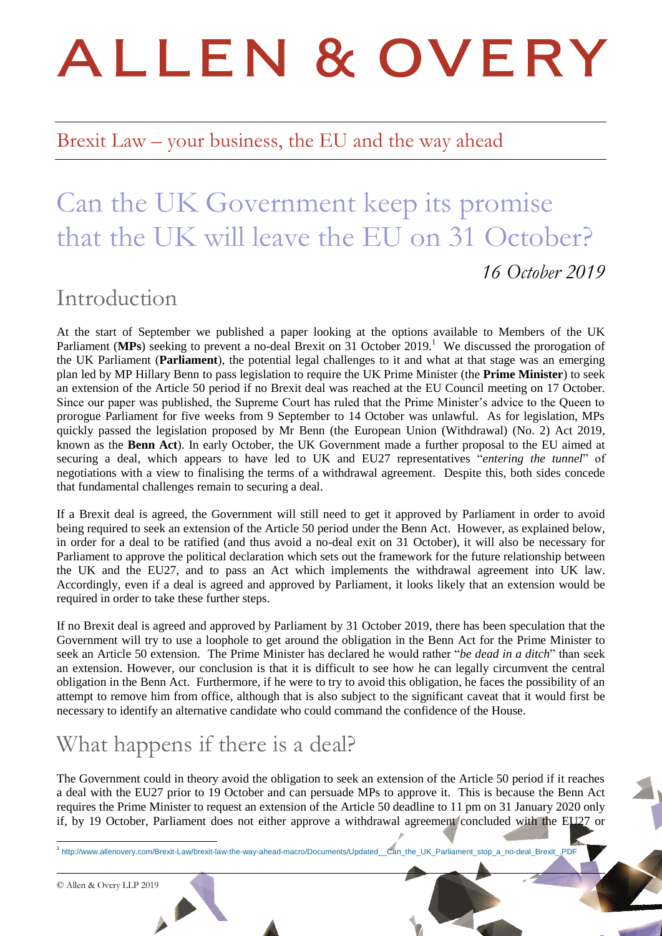# ALLEN & OVERY

## Brexit Law – your business, the EU and the way ahead

## Can the UK Government keep its promise that the UK will leave the EU on 31 October? *16 October 2019*

## Introduction

At the start of September we published a paper looking at the options available to Members of the UK Parliament (MPs) seeking to prevent a no-deal Brexit on 31 October 2019.<sup>1</sup> We discussed the prorogation of the UK Parliament (**Parliament**), the potential legal challenges to it and what at that stage was an emerging plan led by MP Hillary Benn to pass legislation to require the UK Prime Minister (the **Prime Minister**) to seek an extension of the Article 50 period if no Brexit deal was reached at the EU Council meeting on 17 October. Since our paper was published, the Supreme Court has ruled that the Prime Minister's advice to the Queen to prorogue Parliament for five weeks from 9 September to 14 October was unlawful. As for legislation, MPs quickly passed the legislation proposed by Mr Benn (the European Union (Withdrawal) (No. 2) Act 2019, known as the **Benn Act**). In early October, the UK Government made a further proposal to the EU aimed at securing a deal, which appears to have led to UK and EU27 representatives "*entering the tunnel*" of negotiations with a view to finalising the terms of a withdrawal agreement. Despite this, both sides concede that fundamental challenges remain to securing a deal.

If a Brexit deal is agreed, the Government will still need to get it approved by Parliament in order to avoid being required to seek an extension of the Article 50 period under the Benn Act. However, as explained below, in order for a deal to be ratified (and thus avoid a no-deal exit on 31 October), it will also be necessary for Parliament to approve the political declaration which sets out the framework for the future relationship between the UK and the EU27, and to pass an Act which implements the withdrawal agreement into UK law. Accordingly, even if a deal is agreed and approved by Parliament, it looks likely that an extension would be required in order to take these further steps.

If no Brexit deal is agreed and approved by Parliament by 31 October 2019, there has been speculation that the Government will try to use a loophole to get around the obligation in the Benn Act for the Prime Minister to seek an Article 50 extension. The Prime Minister has declared he would rather "*be dead in a ditch*" than seek an extension. However, our conclusion is that it is difficult to see how he can legally circumvent the central obligation in the Benn Act. Furthermore, if he were to try to avoid this obligation, he faces the possibility of an attempt to remove him from office, although that is also subject to the significant caveat that it would first be necessary to identify an alternative candidate who could command the confidence of the House.

## What happens if there is a deal?

The Government could in theory avoid the obligation to seek an extension of the Article 50 period if it reaches a deal with the EU27 prior to 19 October and can persuade MPs to approve it. This is because the Benn Act requires the Prime Minister to request an extension of the Article 50 deadline to 11 pm on 31 January 2020 only if, by 19 October, Parliament does not either approve a withdrawal agreement concluded with the EU27 or

1 [http://www.allenovery.com/Brexit-Law/brexit-law-the-way-ahead-macro/Documents/Updated\\_\\_Can\\_the\\_UK\\_Parliament\\_stop\\_a\\_no-deal\\_Brexit\\_.PDF](http://www.allenovery.com/Brexit-Law/brexit-law-the-way-ahead-macro/Documents/Updated__Can_the_UK_Parliament_stop_a_no-deal_Brexit_.PDF)

© Allen & Overy LLP 2019 1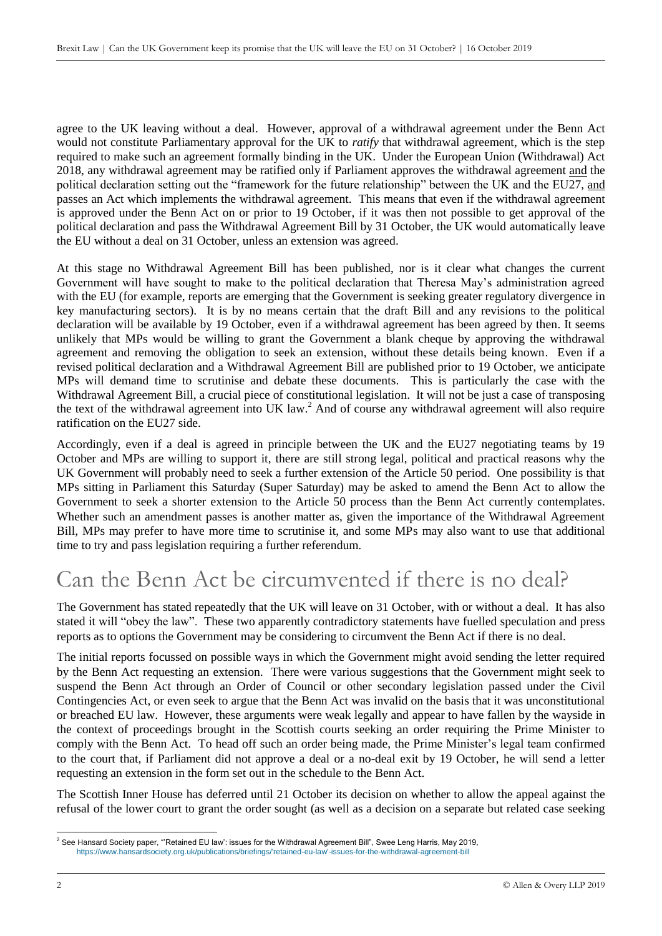agree to the UK leaving without a deal. However, approval of a withdrawal agreement under the Benn Act would not constitute Parliamentary approval for the UK to *ratify* that withdrawal agreement, which is the step required to make such an agreement formally binding in the UK. Under the European Union (Withdrawal) Act 2018, any withdrawal agreement may be ratified only if Parliament approves the withdrawal agreement and the political declaration setting out the "framework for the future relationship" between the UK and the EU27, and passes an Act which implements the withdrawal agreement. This means that even if the withdrawal agreement is approved under the Benn Act on or prior to 19 October, if it was then not possible to get approval of the political declaration and pass the Withdrawal Agreement Bill by 31 October, the UK would automatically leave the EU without a deal on 31 October, unless an extension was agreed.

At this stage no Withdrawal Agreement Bill has been published, nor is it clear what changes the current Government will have sought to make to the political declaration that Theresa May's administration agreed with the EU (for example, reports are emerging that the Government is seeking greater regulatory divergence in key manufacturing sectors). It is by no means certain that the draft Bill and any revisions to the political declaration will be available by 19 October, even if a withdrawal agreement has been agreed by then. It seems unlikely that MPs would be willing to grant the Government a blank cheque by approving the withdrawal agreement and removing the obligation to seek an extension, without these details being known. Even if a revised political declaration and a Withdrawal Agreement Bill are published prior to 19 October, we anticipate MPs will demand time to scrutinise and debate these documents. This is particularly the case with the Withdrawal Agreement Bill, a crucial piece of constitutional legislation. It will not be just a case of transposing the text of the withdrawal agreement into UK law.<sup>2</sup> And of course any withdrawal agreement will also require ratification on the EU27 side.

Accordingly, even if a deal is agreed in principle between the UK and the EU27 negotiating teams by 19 October and MPs are willing to support it, there are still strong legal, political and practical reasons why the UK Government will probably need to seek a further extension of the Article 50 period. One possibility is that MPs sitting in Parliament this Saturday (Super Saturday) may be asked to amend the Benn Act to allow the Government to seek a shorter extension to the Article 50 process than the Benn Act currently contemplates. Whether such an amendment passes is another matter as, given the importance of the Withdrawal Agreement Bill, MPs may prefer to have more time to scrutinise it, and some MPs may also want to use that additional time to try and pass legislation requiring a further referendum.

## Can the Benn Act be circumvented if there is no deal?

The Government has stated repeatedly that the UK will leave on 31 October, with or without a deal. It has also stated it will "obey the law". These two apparently contradictory statements have fuelled speculation and press reports as to options the Government may be considering to circumvent the Benn Act if there is no deal.

The initial reports focussed on possible ways in which the Government might avoid sending the letter required by the Benn Act requesting an extension. There were various suggestions that the Government might seek to suspend the Benn Act through an Order of Council or other secondary legislation passed under the Civil Contingencies Act, or even seek to argue that the Benn Act was invalid on the basis that it was unconstitutional or breached EU law. However, these arguments were weak legally and appear to have fallen by the wayside in the context of proceedings brought in the Scottish courts seeking an order requiring the Prime Minister to comply with the Benn Act. To head off such an order being made, the Prime Minister's legal team confirmed to the court that, if Parliament did not approve a deal or a no-deal exit by 19 October, he will send a letter requesting an extension in the form set out in the schedule to the Benn Act.

The Scottish Inner House has deferred until 21 October its decision on whether to allow the appeal against the refusal of the lower court to grant the order sought (as well as a decision on a separate but related case seeking

<sup>1</sup>  $^2$  See Hansard Society paper, "'Retained EU law': issues for the Withdrawal Agreement Bill", Swee Leng Harris, May 2019, [https://www.hansardsociety.org.uk/publications/briefings/'retained-eu-law'-issues-for-the-withdrawal-agreement-bill](https://www.hansardsociety.org.uk/publications/briefings/)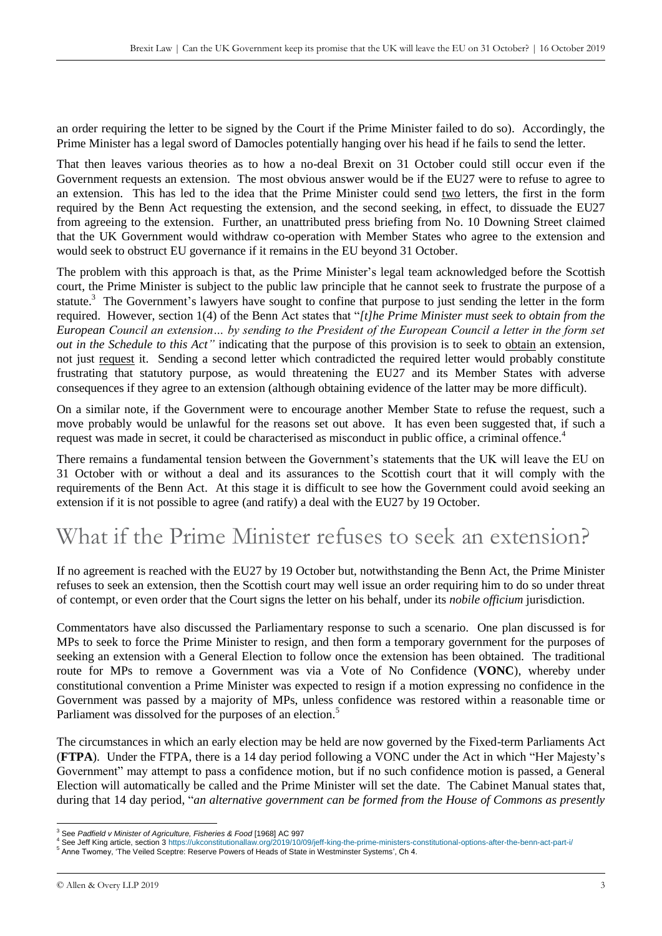an order requiring the letter to be signed by the Court if the Prime Minister failed to do so). Accordingly, the Prime Minister has a legal sword of Damocles potentially hanging over his head if he fails to send the letter.

That then leaves various theories as to how a no-deal Brexit on 31 October could still occur even if the Government requests an extension. The most obvious answer would be if the EU27 were to refuse to agree to an extension. This has led to the idea that the Prime Minister could send two letters, the first in the form required by the Benn Act requesting the extension, and the second seeking, in effect, to dissuade the EU27 from agreeing to the extension. Further, an unattributed press briefing from No. 10 Downing Street claimed that the UK Government would withdraw co-operation with Member States who agree to the extension and would seek to obstruct EU governance if it remains in the EU beyond 31 October.

The problem with this approach is that, as the Prime Minister's legal team acknowledged before the Scottish court, the Prime Minister is subject to the public law principle that he cannot seek to frustrate the purpose of a statute.<sup>3</sup> The Government's lawyers have sought to confine that purpose to just sending the letter in the form required. However, section 1(4) of the Benn Act states that "*[t]he Prime Minister must seek to obtain from the European Council an extension… by sending to the President of the European Council a letter in the form set out in the Schedule to this Act"* indicating that the purpose of this provision is to seek to obtain an extension, not just request it. Sending a second letter which contradicted the required letter would probably constitute frustrating that statutory purpose, as would threatening the EU27 and its Member States with adverse consequences if they agree to an extension (although obtaining evidence of the latter may be more difficult).

On a similar note, if the Government were to encourage another Member State to refuse the request, such a move probably would be unlawful for the reasons set out above. It has even been suggested that, if such a request was made in secret, it could be characterised as misconduct in public office, a criminal offence.<sup>4</sup>

There remains a fundamental tension between the Government's statements that the UK will leave the EU on 31 October with or without a deal and its assurances to the Scottish court that it will comply with the requirements of the Benn Act. At this stage it is difficult to see how the Government could avoid seeking an extension if it is not possible to agree (and ratify) a deal with the EU27 by 19 October.

## What if the Prime Minister refuses to seek an extension?

If no agreement is reached with the EU27 by 19 October but, notwithstanding the Benn Act, the Prime Minister refuses to seek an extension, then the Scottish court may well issue an order requiring him to do so under threat of contempt, or even order that the Court signs the letter on his behalf, under its *nobile officium* jurisdiction.

Commentators have also discussed the Parliamentary response to such a scenario. One plan discussed is for MPs to seek to force the Prime Minister to resign, and then form a temporary government for the purposes of seeking an extension with a General Election to follow once the extension has been obtained. The traditional route for MPs to remove a Government was via a Vote of No Confidence (**VONC**), whereby under constitutional convention a Prime Minister was expected to resign if a motion expressing no confidence in the Government was passed by a majority of MPs, unless confidence was restored within a reasonable time or Parliament was dissolved for the purposes of an election.<sup>5</sup>

The circumstances in which an early election may be held are now governed by the Fixed-term Parliaments Act (**FTPA**). Under the FTPA, there is a 14 day period following a VONC under the Act in which "Her Majesty's Government" may attempt to pass a confidence motion, but if no such confidence motion is passed, a General Election will automatically be called and the Prime Minister will set the date. The Cabinet Manual states that, during that 14 day period, "*an alternative government can be formed from the House of Commons as presently* 

<sup>-</sup><sup>3</sup> See *Padfield v Minister of Agriculture, Fisheries & Food* [1968] AC 997

<sup>4</sup> See Jeff King article, section [3 https://ukconstitutionallaw.org/2019/10/09/jeff-king-the-prime-ministers-constitutional-options-after-the-benn-act-part-i/](https://ukconstitutionallaw.org/2019/10/09/jeff-king-the-prime-ministers-constitutional-options-after-the-benn-act-part-i/)

<sup>5</sup> Anne Twomey, 'The Veiled Sceptre: Reserve Powers of Heads of State in Westminster Systems', Ch 4.